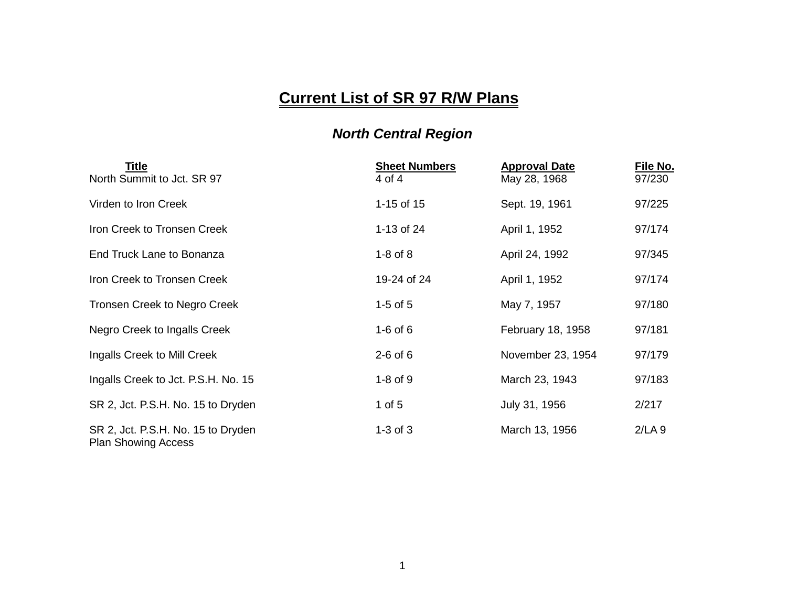## **Current List of SR 97 R/W Plans**

## *North Central Region*

| Title<br>North Summit to Jct. SR 97                              | <b>Sheet Numbers</b><br>4 of 4 | <b>Approval Date</b><br>May 28, 1968 | File No.<br>97/230 |
|------------------------------------------------------------------|--------------------------------|--------------------------------------|--------------------|
| Virden to Iron Creek                                             | 1-15 of 15                     | Sept. 19, 1961                       | 97/225             |
| Iron Creek to Tronsen Creek                                      | 1-13 of 24                     | April 1, 1952                        | 97/174             |
| End Truck Lane to Bonanza                                        | $1-8$ of $8$                   | April 24, 1992                       | 97/345             |
| Iron Creek to Tronsen Creek                                      | 19-24 of 24                    | April 1, 1952                        | 97/174             |
| Tronsen Creek to Negro Creek                                     | $1-5$ of $5$                   | May 7, 1957                          | 97/180             |
| Negro Creek to Ingalls Creek                                     | $1-6$ of $6$                   | February 18, 1958                    | 97/181             |
| Ingalls Creek to Mill Creek                                      | $2-6$ of 6                     | November 23, 1954                    | 97/179             |
| Ingalls Creek to Jct. P.S.H. No. 15                              | $1-8$ of $9$                   | March 23, 1943                       | 97/183             |
| SR 2, Jct. P.S.H. No. 15 to Dryden                               | 1 of $5$                       | July 31, 1956                        | 2/217              |
| SR 2, Jct. P.S.H. No. 15 to Dryden<br><b>Plan Showing Access</b> | $1-3$ of $3$                   | March 13, 1956                       | 2/LA9              |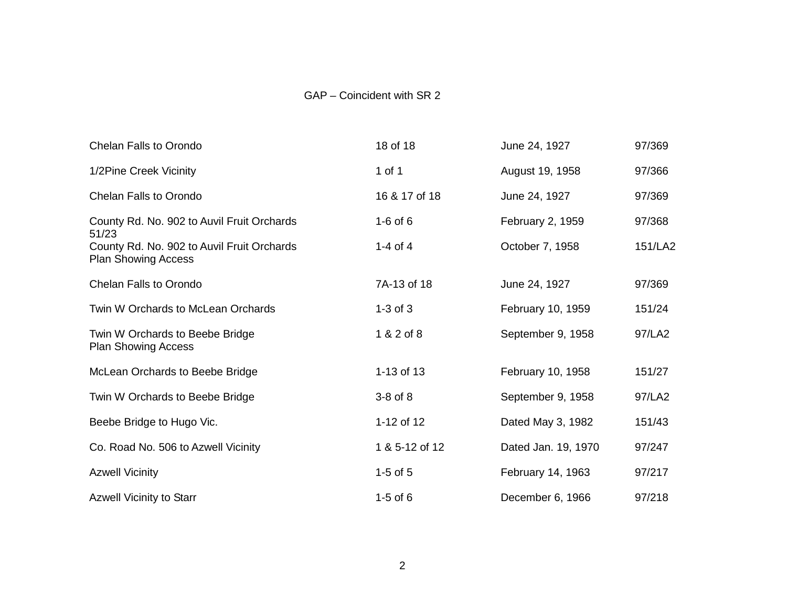## GAP – Coincident with SR 2

| <b>Chelan Falls to Orondo</b>                                            | 18 of 18       | June 24, 1927       | 97/369  |
|--------------------------------------------------------------------------|----------------|---------------------|---------|
| 1/2Pine Creek Vicinity                                                   | 1 of 1         | August 19, 1958     | 97/366  |
| <b>Chelan Falls to Orondo</b>                                            | 16 & 17 of 18  | June 24, 1927       | 97/369  |
| County Rd. No. 902 to Auvil Fruit Orchards<br>51/23                      | $1-6$ of $6$   | February 2, 1959    | 97/368  |
| County Rd. No. 902 to Auvil Fruit Orchards<br><b>Plan Showing Access</b> | 1-4 of 4       | October 7, 1958     | 151/LA2 |
| <b>Chelan Falls to Orondo</b>                                            | 7A-13 of 18    | June 24, 1927       | 97/369  |
| Twin W Orchards to McLean Orchards                                       | $1-3$ of $3$   | February 10, 1959   | 151/24  |
| Twin W Orchards to Beebe Bridge<br><b>Plan Showing Access</b>            | 1 & 2 of 8     | September 9, 1958   | 97/LA2  |
| McLean Orchards to Beebe Bridge                                          | 1-13 of 13     | February 10, 1958   | 151/27  |
| Twin W Orchards to Beebe Bridge                                          | $3-8$ of $8$   | September 9, 1958   | 97/LA2  |
| Beebe Bridge to Hugo Vic.                                                | 1-12 of 12     | Dated May 3, 1982   | 151/43  |
| Co. Road No. 506 to Azwell Vicinity                                      | 1 & 5-12 of 12 | Dated Jan. 19, 1970 | 97/247  |
| <b>Azwell Vicinity</b>                                                   | $1-5$ of $5$   | February 14, 1963   | 97/217  |
| <b>Azwell Vicinity to Starr</b>                                          | $1-5$ of $6$   | December 6, 1966    | 97/218  |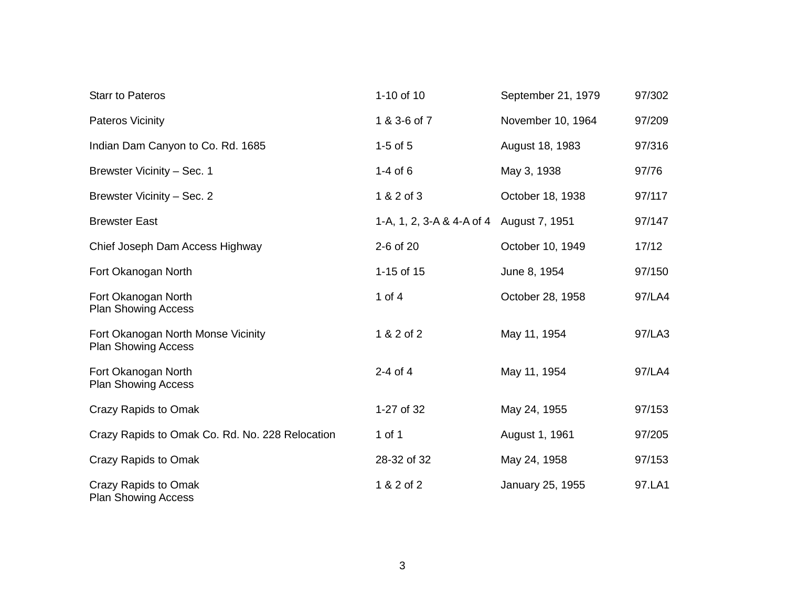| <b>Starr to Pateros</b>                                          | 1-10 of 10                               | September 21, 1979 | 97/302 |
|------------------------------------------------------------------|------------------------------------------|--------------------|--------|
| <b>Pateros Vicinity</b>                                          | 1 & 3-6 of 7                             | November 10, 1964  | 97/209 |
| Indian Dam Canyon to Co. Rd. 1685                                | $1-5$ of $5$                             | August 18, 1983    | 97/316 |
| Brewster Vicinity - Sec. 1                                       | $1-4$ of 6                               | May 3, 1938        | 97/76  |
| Brewster Vicinity - Sec. 2                                       | 1 & 2 of 3                               | October 18, 1938   | 97/117 |
| <b>Brewster East</b>                                             | 1-A, 1, 2, 3-A & 4-A of 4 August 7, 1951 |                    | 97/147 |
| Chief Joseph Dam Access Highway                                  | 2-6 of 20                                | October 10, 1949   | 17/12  |
| Fort Okanogan North                                              | 1-15 of 15                               | June 8, 1954       | 97/150 |
| Fort Okanogan North<br><b>Plan Showing Access</b>                | 1 of $4$                                 | October 28, 1958   | 97/LA4 |
| Fort Okanogan North Monse Vicinity<br><b>Plan Showing Access</b> | 1 & 2 of 2                               | May 11, 1954       | 97/LA3 |
| Fort Okanogan North<br><b>Plan Showing Access</b>                | $2-4$ of $4$                             | May 11, 1954       | 97/LA4 |
| Crazy Rapids to Omak                                             | 1-27 of 32                               | May 24, 1955       | 97/153 |
| Crazy Rapids to Omak Co. Rd. No. 228 Relocation                  | 1 of 1                                   | August 1, 1961     | 97/205 |
| Crazy Rapids to Omak                                             | 28-32 of 32                              | May 24, 1958       | 97/153 |
| Crazy Rapids to Omak<br><b>Plan Showing Access</b>               | 1 & 2 of 2                               | January 25, 1955   | 97.LA1 |